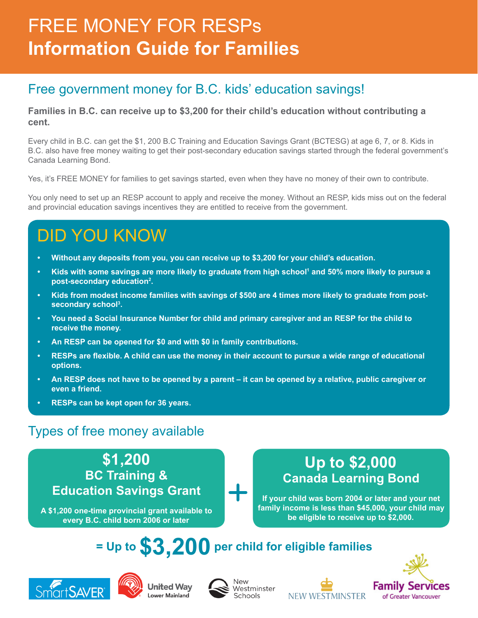# FREE MONEY FOR RESPs **Information Guide for Families**

### Free government money for B.C. kids' education savings!

**Families in B.C. can receive up to \$3,200 for their child's education without contributing a cent.**

Every child in B.C. can get the \$1, 200 B.C Training and Education Savings Grant (BCTESG) at age 6, 7, or 8. Kids in B.C. also have free money waiting to get their post-secondary education savings started through the federal government's Canada Learning Bond.

Yes, it's FREE MONEY for families to get savings started, even when they have no money of their own to contribute.

You only need to set up an RESP account to apply and receive the money. Without an RESP, kids miss out on the federal and provincial education savings incentives they are entitled to receive from the government.

# DID YOU KNOW

- **• Without any deposits from you, you can receive up to \$3,200 for your child's education.**
- **• Kids with some savings are more likely to graduate from high school1 and 50% more likely to pursue a post-secondary education2 .**
- **• Kids from modest income families with savings of \$500 are 4 times more likely to graduate from postsecondary school3 .**
- **• You need a Social Insurance Number for child and primary caregiver and an RESP for the child to receive the money.**
- **• An RESP can be opened for \$0 and with \$0 in family contributions.**
- **• RESPs are flexible. A child can use the money in their account to pursue a wide range of educational options.**
- **• An RESP does not have to be opened by a parent it can be opened by a relative, public caregiver or even a friend.**
- **• RESPs can be kept open for 36 years.**

### Types of free money available

**\$1,200 BC Training & Education Savings Grant**

**A \$1,200 one-time provincial grant available to every B.C. child born 2006 or later**

### **Up to \$2,000 Canada Learning Bond**

**If your child was born 2004 or later and your net family income is less than \$45,000, your child may be eligible to receive up to \$2,000.**

## **= Up to \$3,200 per child for eligible families**